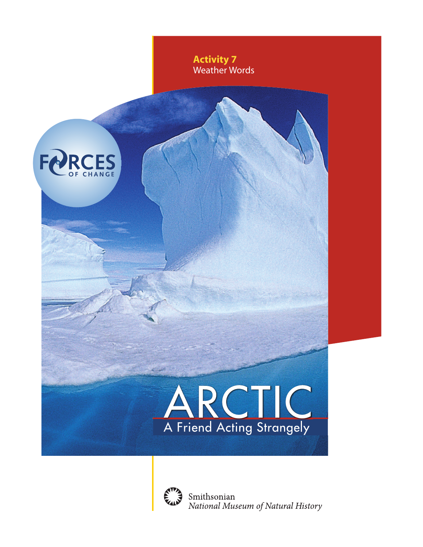

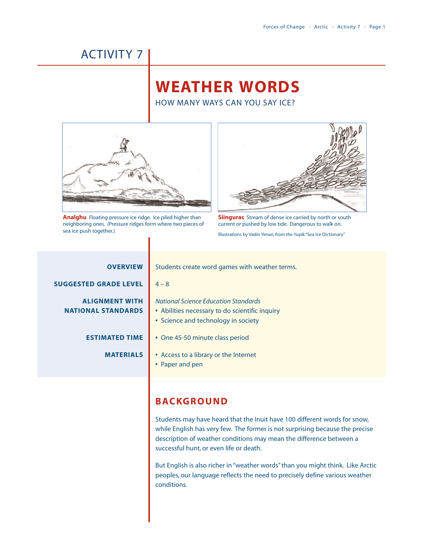# ACTIVITY 7

# **WEATHER WORDS**

HOW MANY WAYS CAN YOU SAY ICE?



**Analghu** Floating pressure ice ridge. Ice piled higher than neighboring ones. (Pressure ridges form where two pieces of sea ice push together.)



**Siingurac** Stream of dense ice carried by north or south current or pushed by low tide. Dangerous to walk on.

Illustrations by Vadin Yenan, from the Yupik "Sea Ice Dictionary"

| <b>OVERVIEW</b>                                    | <b>Stude</b>                    |
|----------------------------------------------------|---------------------------------|
| <b>SUGGESTED GRADE LEVEL</b>                       | $4 - 8$                         |
| <b>ALIGNMENT WITH</b><br><b>NATIONAL STANDARDS</b> | <b>Natio</b><br>• Abi<br>• Scie |
| <b>ESTIMATED TIME</b>                              | • On                            |
| <b>MATERIALS</b>                                   | • Acc<br>Pap                    |

tudents create word games with weather terms.

*National Science Education Standards*

- **•** Abilities necessary to do scientific inquiry
- **•** Science and technology in society
- **•** One 45-50 minute class period
- **•** Access to a library or the Internet
- **•** Paper and pen

## **BACKGROUND**

Students may have heard that the Inuit have 100 different words for snow, while English has very few. The former is not surprising because the precise description of weather conditions may mean the difference between a successful hunt, or even life or death.

But English is also richer in "weather words" than you might think. Like Arctic peoples, our language reflects the need to precisely define various weather conditions.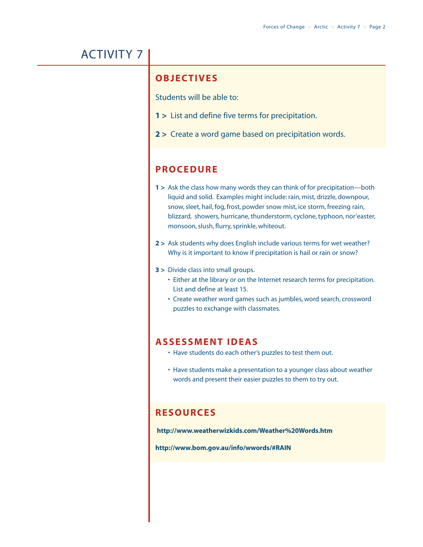## ACTIVITY 7

### **OBJECTIVES**

Students will be able to:

- **1 >** List and define five terms for precipitation.
- **2 >** Create a word game based on precipitation words.

### **PROCEDURE**

- **1 >** Ask the class how many words they can think of for precipitation—both liquid and solid. Examples might include: rain, mist, drizzle, downpour, snow, sleet, hail, fog, frost, powder snow mist, ice storm, freezing rain, blizzard, showers, hurricane, thunderstorm, cyclone, typhoon, nor'easter, monsoon, slush, flurry, sprinkle, whiteout.
- **2 >** Ask students why does English include various terms for wet weather? Why is it important to know if precipitation is hail or rain or snow?
- **3 >** Divide class into small groups.
	- Either at the library or on the Internet research terms for precipitation. List and define at least 15.
	- Create weather word games such as jumbles, word search, crossword puzzles to exchange with classmates.

### **ASSESSMENT IDEAS**

- Have students do each other's puzzles to test them out.
- Have students make a presentation to a younger class about weather words and present their easier puzzles to them to try out.

## **RESOURCES**

**http://www.weatherwizkids.com/Weather%20Words.htm**

**http://www.bom.gov.au/info/wwords/#RAIN**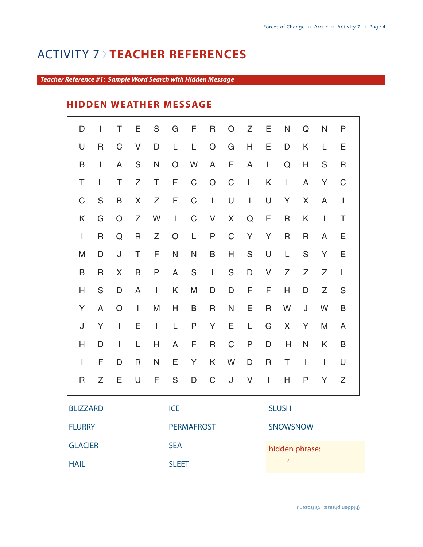## ACTIVITY 7 <sup>&</sup>gt; **TEACHER REFERENCES**

#### *Teacher Reference #1: Sample Word Search with Hidden Message*

## **HIDDEN WEATHER MESSAGE**

| D              | $\mathbf{I}$  | Τ            | Ε             | S            | G            | F           | R              | O           | Ζ                                     | Ε                        | N | Q              | N             | P            |
|----------------|---------------|--------------|---------------|--------------|--------------|-------------|----------------|-------------|---------------------------------------|--------------------------|---|----------------|---------------|--------------|
| U              | R             | $\mathsf C$  | V             | D            | L            | L           | $\bigcirc$     | G           | н                                     | Е                        | D | K              | L             | Е            |
| B              | $\mathbf{I}$  | A            | ${\mathsf S}$ | $\mathsf{N}$ | O            | W           | A              | F           | A                                     | L                        | Q | H              | ${\mathsf S}$ | R            |
| T              | L             | T            | Z             | $\top$       | E            | $\mathsf C$ | $\mathsf O$    | $\mathsf C$ | L.                                    | K                        | L | A              | Y             | $\mathsf C$  |
| $\mathsf C$    | ${\mathsf S}$ | B            | $\mathsf X$   | Z            | F            | $\mathsf C$ | $\mathbf{I}$   | $\mathsf U$ | $\begin{array}{c} \hline \end{array}$ | $\cup$                   | Y | X              | $\mathsf{A}$  | $\mathbf{I}$ |
| K              | G             | O            | Ζ             | W            | $\mathbf{I}$ | C           | V              | X           | ${\bf Q}$                             | Е                        | R | K              | $\mathbf{I}$  | Τ            |
| $\mathbf{I}$   | R             | Q            | R             | Z            | $\bigcirc$   | L           | ${\sf P}$      | $\mathsf C$ | Y                                     | Y                        | R | $\mathsf R$    | A             | Ε            |
| M              | D             | J            | T             | F            | $\mathsf{N}$ | N           | $\sf B$        | H           | ${\sf S}$                             | $\cup$                   | L | ${\sf S}$      | Y             | E            |
| B              | R             | X            | B             | P            | A            | S           | $\overline{1}$ | ${\sf S}$   | D                                     | V                        | Z | Z              | Z             | L            |
| H              | S             | D            | A             | $\mathbf{I}$ | Κ            | M           | $\mathsf D$    | D           | F                                     | F                        | H | $\mathsf D$    | Z             | ${\sf S}$    |
| Y              | A             | O            | $\mathbf{I}$  | M            | Н            | B           | R              | N           | Ε                                     | R                        | W | J              | W             | B            |
| J              | Y             | $\mathbf{I}$ | Ε             | $\mathbf{I}$ | L            | P           | Y              | Ε           | L                                     | G                        | X | Y              | M             | A            |
| Н              | D             | $\mathbf{I}$ | L             | Н            | A            | F           | $\mathsf R$    | $\mathsf C$ | $\mathsf{P}$                          | D                        | Н | N              | K             | B            |
| $\overline{1}$ | F             | D            | R             | ${\sf N}$    | Е            | Y           | K              | W           | D                                     | $\mathsf R$              | T | $\overline{1}$ | $\mathbf{I}$  | U            |
| $\mathsf{R}$   | Ζ             | E            | $\cup$        | F            | S            | D           | $\mathsf C$    | J           | $\vee$                                | $\overline{\phantom{a}}$ | Н | P              | Y             | Ζ            |
|                |               |              |               |              |              |             |                |             |                                       |                          |   |                |               |              |

BLIZZARD **FLURRY** GLACIER HAIL

ICE PERMAFROST SEA

SLEET

SLUSH

SNOWSNOW

hidden phrase:

 $\_$   $\_$   $\_$   $\_$   $\_$   $\_$   $\_$   $\_$   $\_$   $\_$